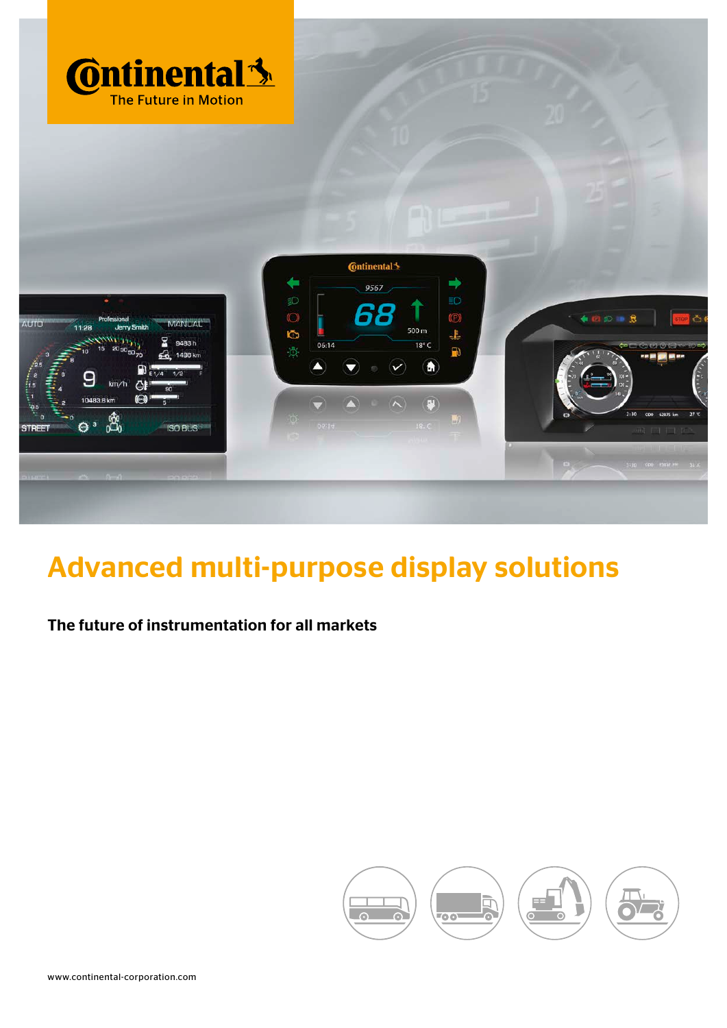

# Advanced multi-purpose display solutions

### The future of instrumentation for all markets

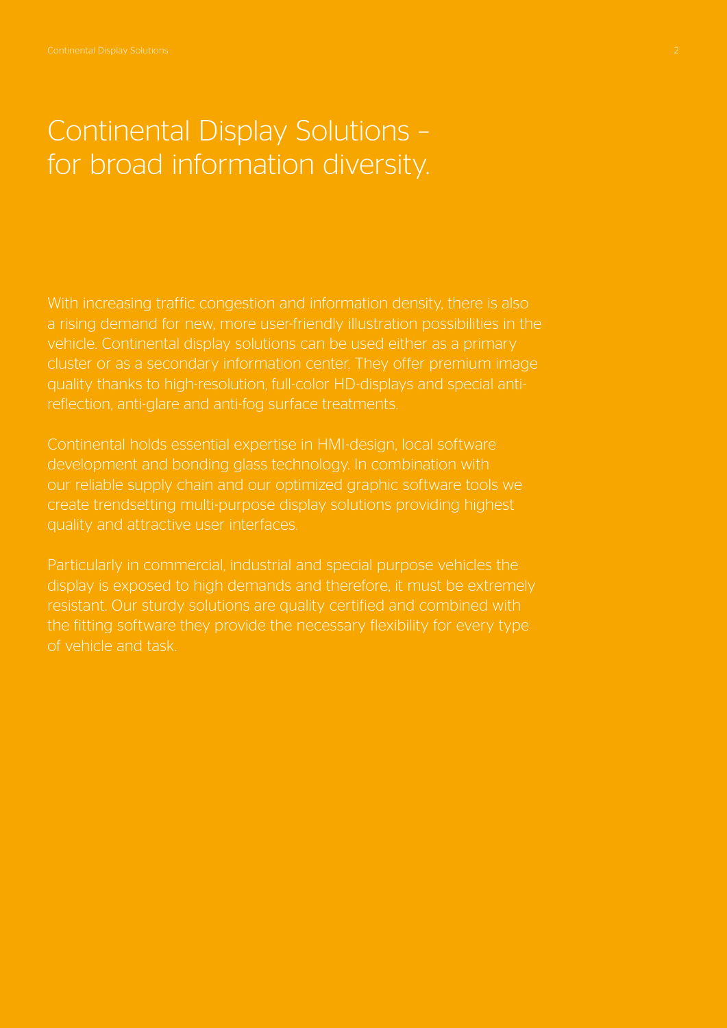### Continental Display Solutions – for broad information diversity.

With increasing traffic congestion and information density, there is also a rising demand for new, more user-friendly illustration possibilities in the vehicle. Continental display solutions can be used either as a primary cluster or as a secondary information center. They offer premium image quality thanks to high-resolution, full-color HD-displays and special antireflection, anti-glare and anti-fog surface treatments.

Continental holds essential expertise in HMI-design, local software development and bonding glass technology. In combination with our reliable supply chain and our optimized graphic software tools we create trendsetting multi-purpose display solutions providing highest quality and attractive user interfaces.

Particularly in commercial, industrial and special purpose vehicles the display is exposed to high demands and therefore, it must be extremely the fitting software they provide the necessary flexibility for every type of vehicle and task.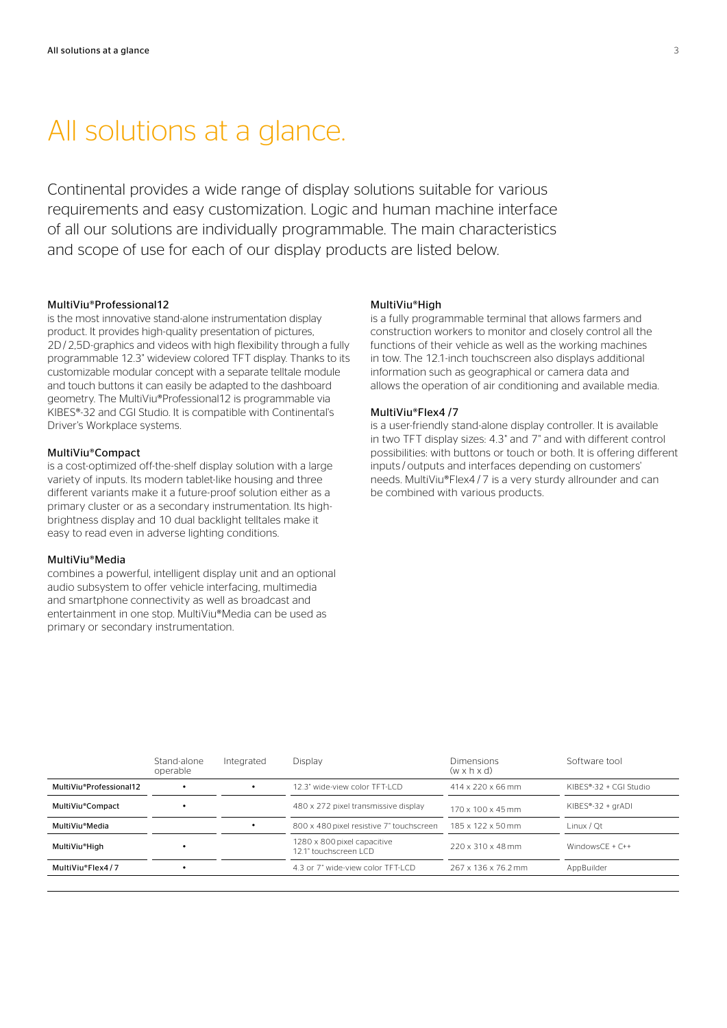### All solutions at a glance.

Continental provides a wide range of display solutions suitable for various requirements and easy customization. Logic and human machine interface of all our solutions are individually programmable. The main characteristics and scope of use for each of our display products are listed below.

#### MultiViu®Professional12

is the most innovative stand-alone instrumentation display product. It provides high-quality presentation of pictures, 2D/2,5D-graphics and videos with high flexibility through a fully programmable 12.3" wideview colored TFT display. Thanks to its customizable modular concept with a separate telltale module and touch buttons it can easily be adapted to the dashboard geometry. The MultiViu®Professional12 is programmable via KIBES®-32 and CGI Studio. It is compatible with Continental's Driver's Workplace systems.

#### MultiViu®Compact

is a cost-optimized off-the-shelf display solution with a large variety of inputs. Its modern tablet-like housing and three different variants make it a future-proof solution either as a primary cluster or as a secondary instrumentation. Its highbrightness display and 10 dual backlight telltales make it easy to read even in adverse lighting conditions.

#### MultiViu®Media

combines a powerful, intelligent display unit and an optional audio subsystem to offer vehicle interfacing, multimedia and smartphone connectivity as well as broadcast and entertainment in one stop. MultiViu®Media can be used as primary or secondary instrumentation.

#### MultiViu®High

is a fully programmable terminal that allows farmers and construction workers to monitor and closely control all the functions of their vehicle as well as the working machines in tow. The 12.1-inch touchscreen also displays additional information such as geographical or camera data and allows the operation of air conditioning and available media.

#### MultiViu®Flex4 /7

is a user-friendly stand-alone display controller. It is available in two TFT display sizes: 4.3" and 7" and with different control possibilities: with buttons or touch or both. It is offering different inputs / outputs and interfaces depending on customers' needs. MultiViu®Flex4 / 7 is a very sturdy allrounder and can be combined with various products.

|                         | Stand-alone<br>operable | Integrated | Display                                                        | Dimensions<br>$(w \times h \times d)$ | Software tool          |  |
|-------------------------|-------------------------|------------|----------------------------------------------------------------|---------------------------------------|------------------------|--|
| MultiViu®Professional12 |                         |            | 12.3" wide-view color TFT-LCD<br>$414 \times 220 \times 66$ mm |                                       | KIBES®-32 + CGI Studio |  |
| MultiViu®Compact        |                         |            | 480 x 272 pixel transmissive display                           | $170 \times 100 \times 45$ mm         | KIBES®-32 + grADI      |  |
| MultiViu®Media          |                         |            | 800 x 480 pixel resistive 7" touchscreen                       | 185 x 122 x 50 mm                     | Linux / Ot             |  |
| MultiViu®High           |                         |            | 1280 x 800 pixel capacitive<br>12.1" touchscreen LCD           | 220 x 310 x 48 mm                     | WindowsCE + $C++$      |  |
| MultiViu®Flex4/7        |                         |            | 4.3 or 7" wide-view color TFT-LCD                              | 267 x 136 x 76.2 mm                   | AppBuilder             |  |
|                         |                         |            |                                                                |                                       |                        |  |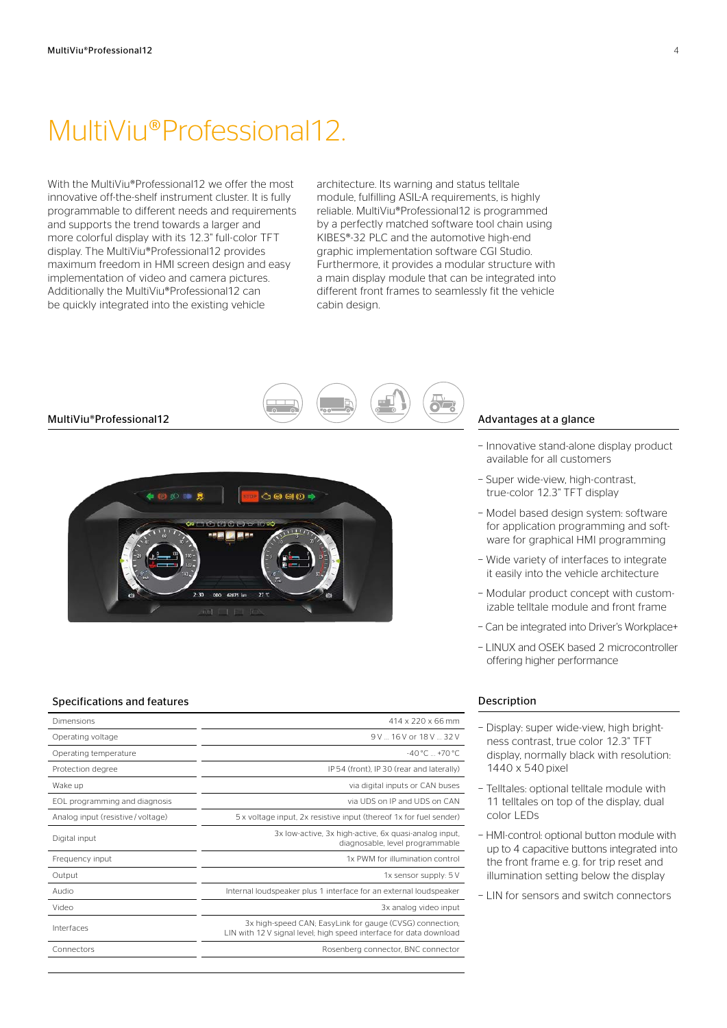### MultiViu®Professional12.

With the MultiViu®Professional12 we offer the most innovative off-the-shelf instrument cluster. It is fully programmable to different needs and requirements and supports the trend towards a larger and more colorful display with its 12.3" full-color TFT display. The MultiViu®Professional12 provides maximum freedom in HMI screen design and easy implementation of video and camera pictures. Additionally the MultiViu®Professional12 can be quickly integrated into the existing vehicle

architecture. Its warning and status telltale module, fulfilling ASIL-A requirements, is highly reliable. MultiViu®Professional12 is programmed by a perfectly matched software tool chain using KIBES®-32 PLC and the automotive high-end graphic implementation software CGI Studio. Furthermore, it provides a modular structure with a main display module that can be integrated into different front frames to seamlessly fit the vehicle cabin design.



 $27<sup>1</sup>$ 

#### Specifications and features

| Dimensions                       | 414 x 220 x 66 mm                                                                                                              |
|----------------------------------|--------------------------------------------------------------------------------------------------------------------------------|
| Operating voltage                | 9V  16 V or 18 V  32 V                                                                                                         |
| Operating temperature            | $-40^{\circ}$ C $+70^{\circ}$ C                                                                                                |
| Protection degree                | IP 54 (front), IP 30 (rear and laterally)                                                                                      |
| Wake up                          | via digital inputs or CAN buses                                                                                                |
| EOL programming and diagnosis    | via UDS on IP and UDS on CAN                                                                                                   |
| Analog input (resistive/voltage) | 5 x voltage input, 2x resistive input (thereof 1x for fuel sender)                                                             |
| Digital input                    | 3x low-active, 3x high-active, 6x quasi-analog input,<br>diagnosable, level programmable                                       |
| Frequency input                  | 1x PWM for illumination control                                                                                                |
| Output                           | 1x sensor supply: 5 V                                                                                                          |
| Audio                            | Internal loudspeaker plus 1 interface for an external loudspeaker                                                              |
| Video                            | 3x analog video input                                                                                                          |
| Interfaces                       | 3x high-speed CAN; EasyLink for gauge (CVSG) connection;<br>LIN with 12 V signal level; high speed interface for data download |
| Connectors                       | Rosenberg connector, BNC connector                                                                                             |
|                                  |                                                                                                                                |

#### Advantages at a glance

- − Innovative stand-alone display product available for all customers
- − Super wide-view, high-contrast, true-color 12.3" TFT display
- − Model based design system: software for application programming and software for graphical HMI programming
- − Wide variety of interfaces to integrate it easily into the vehicle architecture
- − Modular product concept with customizable telltale module and front frame
- − Can be integrated into Driver's Workplace+
- − LINUX and OSEK based 2 microcontroller offering higher performance

- − Display: super wide-view, high brightness contrast, true color 12.3" TFT display, normally black with resolution: 1440 x 540 pixel
- − Telltales: optional telltale module with 11 telltales on top of the display, dual color LEDs
- − HMI-control: optional button module with up to 4 capacitive buttons integrated into the front frame e. g. for trip reset and illumination setting below the display
- − LIN for sensors and switch connectors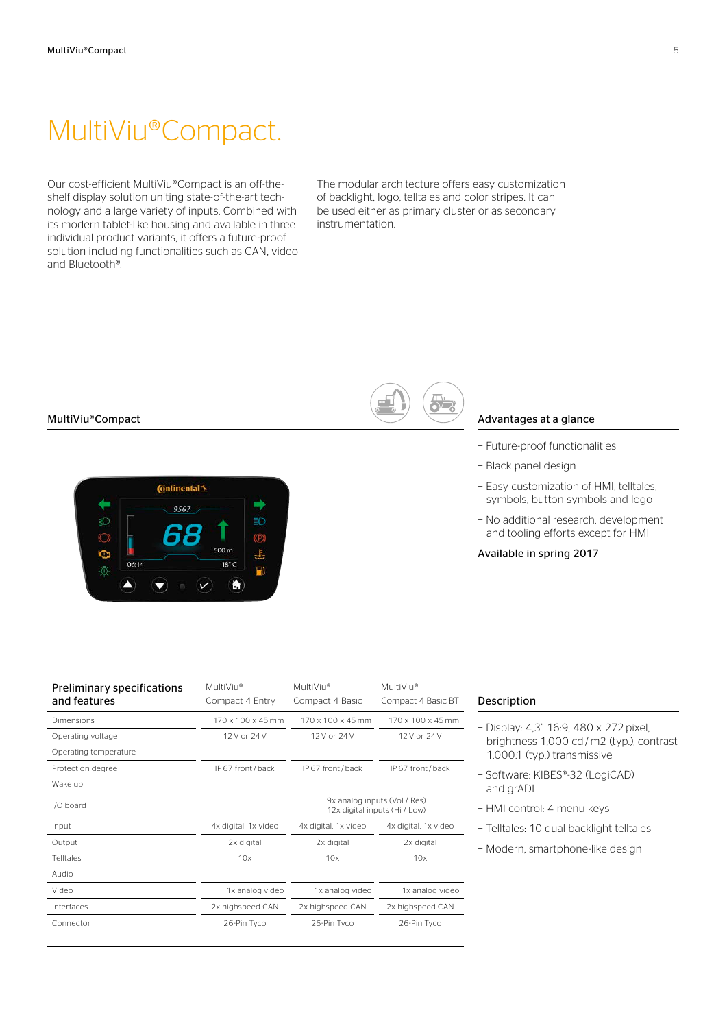## MultiViu®Compact.

Our cost-efficient MultiViu®Compact is an off-theshelf display solution uniting state-of-the-art technology and a large variety of inputs. Combined with its modern tablet-like housing and available in three individual product variants, it offers a future-proof solution including functionalities such as CAN, video and Bluetooth®.

The modular architecture offers easy customization of backlight, logo, telltales and color stripes. It can be used either as primary cluster or as secondary instrumentation.

#### MultiViu®Compact



|--|--|

#### Advantages at a glance

- − Future-proof functionalities
- − Black panel design
- − Easy customization of HMI, telltales, symbols, button symbols and logo
- − No additional research, development and tooling efforts except for HMI

#### Available in spring 2017

| <b>Preliminary specifications</b><br>and features | MultiViu®<br>Compact 4 Entry | MultiViu®<br>Compact 4 Basic | MultiViu®<br>Compact 4 Basic BT                               |  |
|---------------------------------------------------|------------------------------|------------------------------|---------------------------------------------------------------|--|
| Dimensions                                        | 170 x 100 x 45 mm            | 170 x 100 x 45 mm            | $170 \times 100 \times 45$ mm                                 |  |
| Operating voltage                                 | 12 V or 24 V                 | 12 V or 24 V                 | 12 V or 24 V                                                  |  |
| Operating temperature                             |                              |                              |                                                               |  |
| Protection degree                                 | IP 67 front / back           | IP 67 front / back           | IP 67 front / back                                            |  |
| Wake up                                           |                              |                              |                                                               |  |
| $1/O$ board                                       |                              |                              | 9x analog inputs (Vol / Res)<br>12x digital inputs (Hi / Low) |  |
| Input                                             | 4x digital, 1x video         | 4x digital, 1x video         | 4x digital, 1x video                                          |  |
| Output                                            | 2x digital                   | 2x digital                   | 2x digital                                                    |  |
| <b>Telltales</b>                                  | 10x                          | 10x                          | 10x                                                           |  |
| Audio                                             | ۰                            | $\overline{\phantom{0}}$     |                                                               |  |
| Video                                             | 1x analog video              | 1x analog video              | 1x analog video                                               |  |
| Interfaces                                        | 2x highspeed CAN             | 2x highspeed CAN             | 2x highspeed CAN                                              |  |
| Connector                                         | 26-Pin Tyco                  | 26-Pin Tyco                  | 26-Pin Tyco                                                   |  |
|                                                   |                              |                              |                                                               |  |

- − Display: 4,3" 16:9, 480 x 272 pixel, brightness 1,000 cd / m2 (typ.), contrast 1,000:1 (typ.) transmissive
- − Software: KIBES®-32 (LogiCAD) and grADI
- − HMI control: 4 menu keys
- − Telltales: 10 dual backlight telltales
- − Modern, smartphone-like design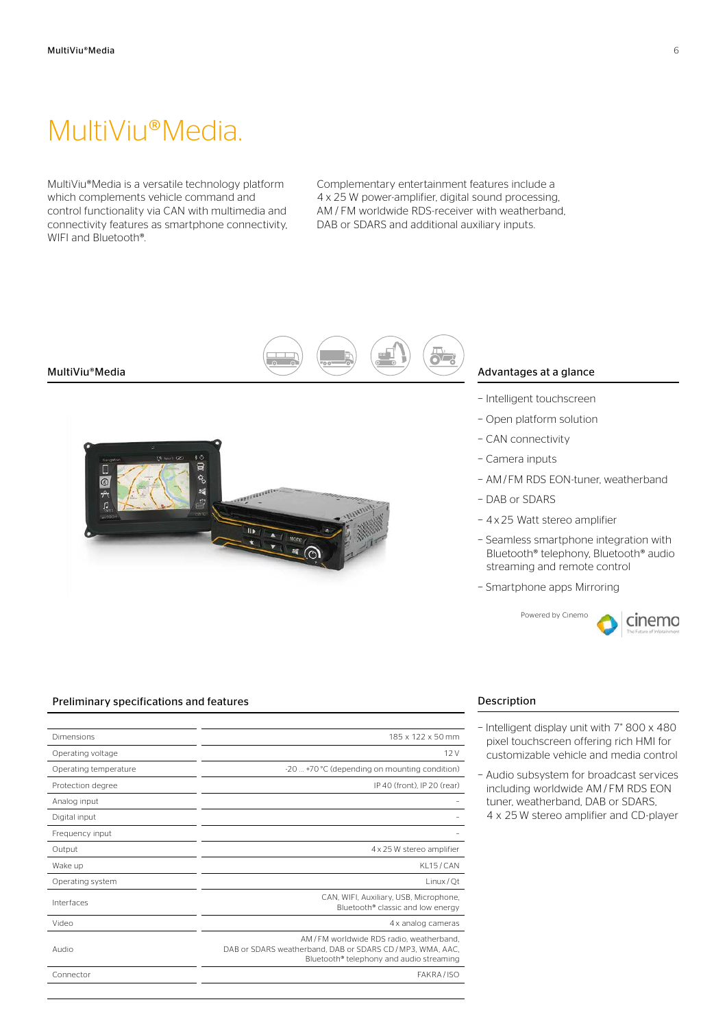### MultiViu®Media.

MultiViu®Media is a versatile technology platform which complements vehicle command and control functionality via CAN with multimedia and connectivity features as smartphone connectivity, WIFI and Bluetooth®.

Complementary entertainment features include a 4 x 25 W power-amplifier, digital sound processing, AM / FM worldwide RDS-receiver with weatherband, DAB or SDARS and additional auxiliary inputs.



#### MultiViu®Media



#### Advantages at a glance

- − Intelligent touchscreen
- − Open platform solution
- − CAN connectivity
- − Camera inputs
- − AM/FM RDS EON-tuner, weatherband
- − DAB or SDARS
- − 4x25 Watt stereo amplifier
- − Seamless smartphone integration with Bluetooth® telephony, Bluetooth® audio streaming and remote control
- − Smartphone apps Mirroring

Powered by Cinemo



#### Preliminary specifications and features

| Dimensions            | 185 x 122 x 50 mm                                                                                                                                           |
|-----------------------|-------------------------------------------------------------------------------------------------------------------------------------------------------------|
| Operating voltage     | 12V                                                                                                                                                         |
| Operating temperature | -20  +70 °C (depending on mounting condition)                                                                                                               |
| Protection degree     | IP 40 (front). IP 20 (rear)                                                                                                                                 |
| Analog input          |                                                                                                                                                             |
| Digital input         |                                                                                                                                                             |
| Frequency input       |                                                                                                                                                             |
| Output                | 4 x 25 W stereo amplifier                                                                                                                                   |
| Wake up               | KL15/CAN                                                                                                                                                    |
| Operating system      | Linux/Qt                                                                                                                                                    |
| Interfaces            | CAN, WIFI, Auxiliary, USB, Microphone,<br>Bluetooth <sup>®</sup> classic and low energy                                                                     |
| Video                 | 4 x analog cameras                                                                                                                                          |
| Audio                 | AM/FM worldwide RDS radio, weatherband.<br>DAB or SDARS weatherband, DAB or SDARS CD/MP3, WMA, AAC,<br>Bluetooth <sup>®</sup> telephony and audio streaming |
| Connector             | FAKRA/ISO                                                                                                                                                   |
|                       |                                                                                                                                                             |

- − Intelligent display unit with 7" 800 x 480 pixel touchscreen offering rich HMI for customizable vehicle and media control
- − Audio subsystem for broadcast services including worldwide AM / FM RDS EON tuner, weatherband, DAB or SDARS, 4 x 25 W stereo amplifier and CD-player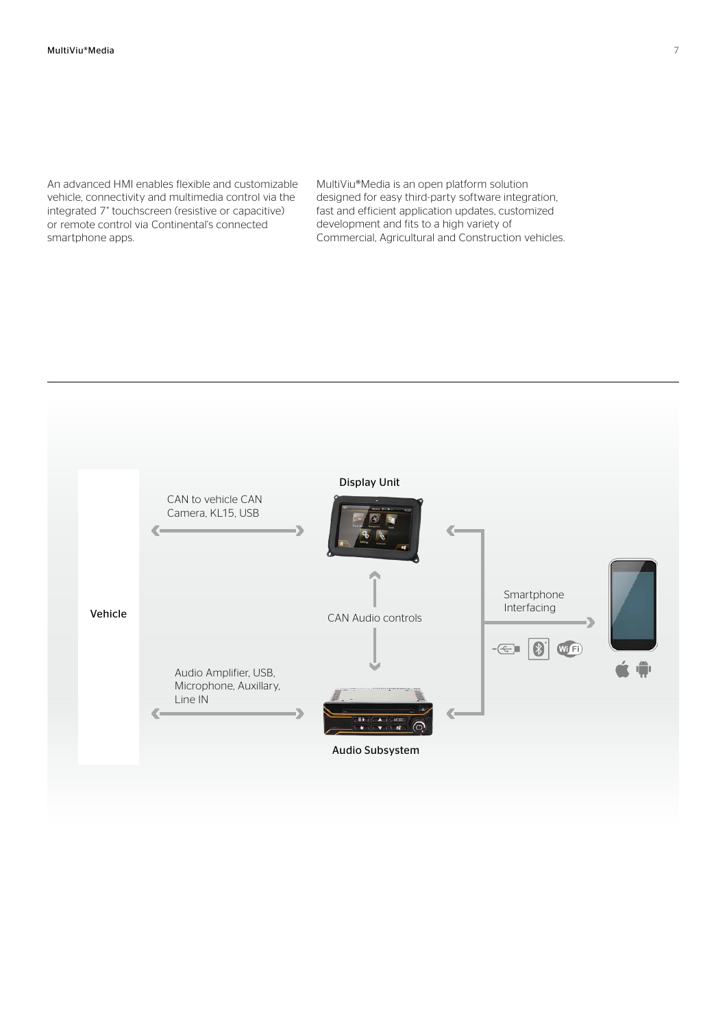An advanced HMI enables flexible and customizable vehicle, connectivity and multimedia control via the integrated 7" touchscreen (resistive or capacitive) or remote control via Continental's connected smartphone apps.

MultiViu®Media is an open platform solution designed for easy third-party software integration, fast and efficient application updates, customized development and fits to a high variety of Commercial, Agricultural and Construction vehicles.

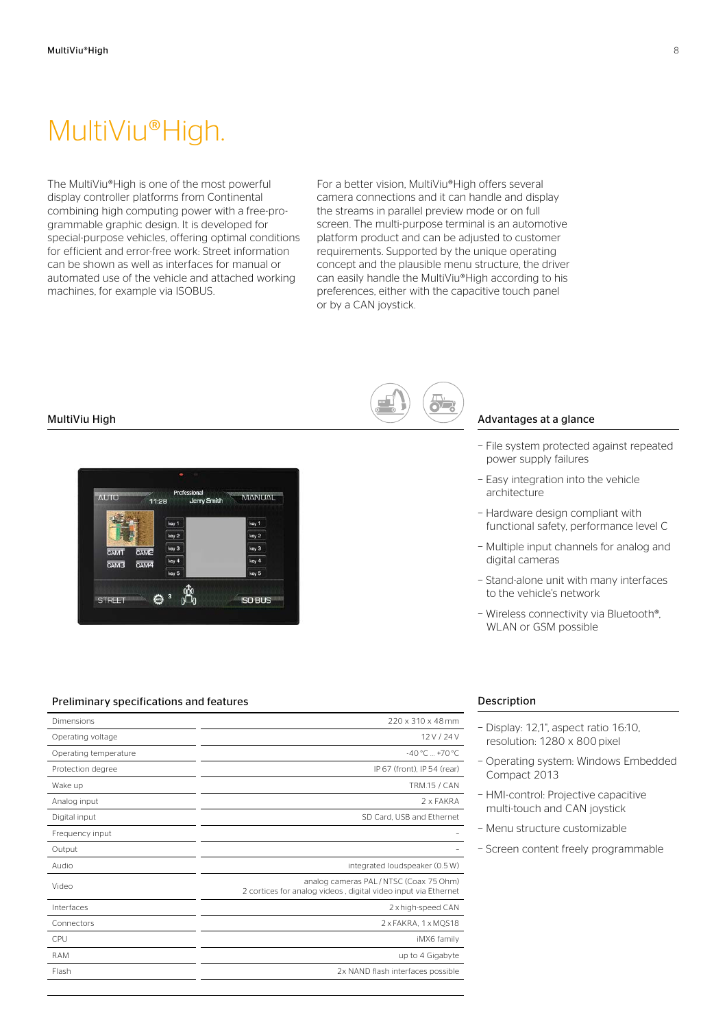## MultiViu®High.

The MultiViu®High is one of the most powerful display controller platforms from Continental combining high computing power with a free-programmable graphic design. It is developed for special-purpose vehicles, offering optimal conditions for efficient and error-free work: Street information can be shown as well as interfaces for manual or automated use of the vehicle and attached working machines, for example via ISOBUS.

For a better vision, MultiViu®High offers several camera connections and it can handle and display the streams in parallel preview mode or on full screen. The multi-purpose terminal is an automotive platform product and can be adjusted to customer requirements. Supported by the unique operating concept and the plausible menu structure, the driver can easily handle the MultiViu®High according to his preferences, either with the capacitive touch panel or by a CAN joystick.

#### MultiViu High



#### Preliminary specifications and features

| Dimensions            | 220 x 310 x 48 mm                                                                                       |
|-----------------------|---------------------------------------------------------------------------------------------------------|
| Operating voltage     | 12 V / 24 V                                                                                             |
| Operating temperature | $-40^{\circ}$ C $+70^{\circ}$ C                                                                         |
| Protection degree     | IP 67 (front). IP 54 (rear)                                                                             |
| Wake up               | <b>TRM.15 / CAN</b>                                                                                     |
| Analog input          | 2 x FAKRA                                                                                               |
| Digital input         | SD Card. USB and Ethernet                                                                               |
| Frequency input       |                                                                                                         |
| Output                |                                                                                                         |
| Audio                 | integrated loudspeaker (0.5 W)                                                                          |
| Video                 | analog cameras PAL/NTSC (Coax 75 Ohm)<br>2 cortices for analog videos, digital video input via Ethernet |
| Interfaces            | 2 x high-speed CAN                                                                                      |
| Connectors            | 2 x FAKRA, 1 x MQS18                                                                                    |
| CPU                   | iMX6 family                                                                                             |
| <b>RAM</b>            | up to 4 Gigabyte                                                                                        |
| Flash                 | 2x NAND flash interfaces possible                                                                       |
|                       |                                                                                                         |



#### Advantages at a glance

- − File system protected against repeated power supply failures
- − Easy integration into the vehicle architecture
- − Hardware design compliant with functional safety, performance level C
- − Multiple input channels for analog and digital cameras
- − Stand-alone unit with many interfaces to the vehicle's network
- − Wireless connectivity via Bluetooth®, WLAN or GSM possible

- − Display: 12,1", aspect ratio 16:10, resolution: 1280 x 800 pixel
- − Operating system: Windows Embedded Compact 2013
- − HMI-control: Projective capacitive multi-touch and CAN joystick
- − Menu structure customizable
- − Screen content freely programmable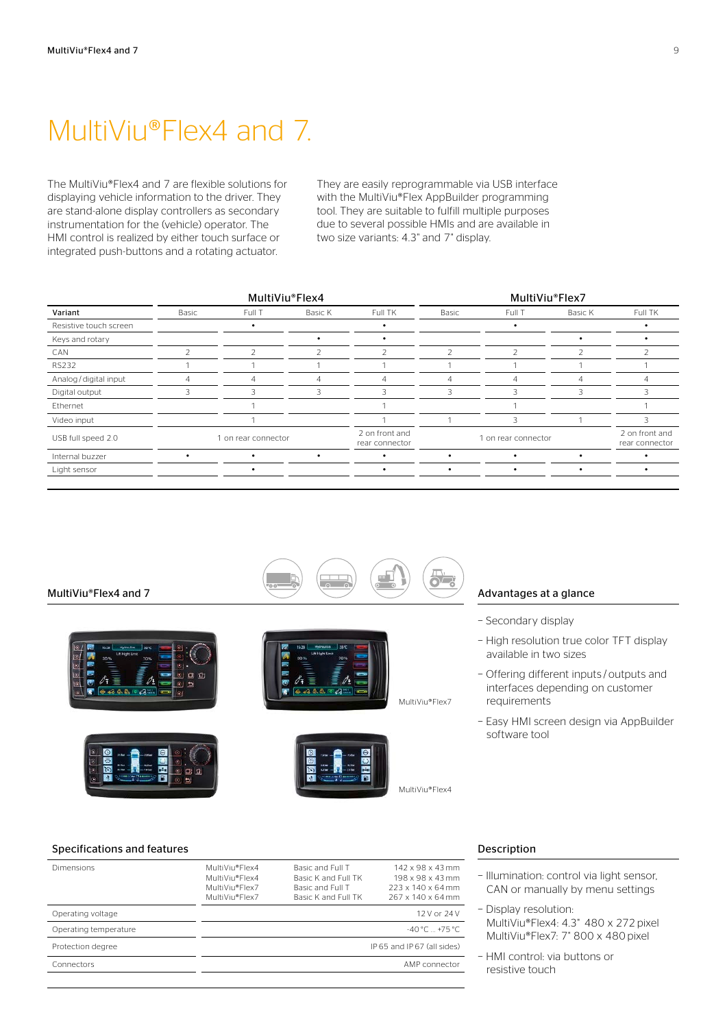### MultiViu®Flex4 and 7.

The MultiViu®Flex4 and 7 are flexible solutions for displaying vehicle information to the driver. They are stand-alone display controllers as secondary instrumentation for the (vehicle) operator. The HMI control is realized by either touch surface or integrated push-buttons and a rotating actuator.

They are easily reprogrammable via USB interface with the MultiViu®Flex AppBuilder programming tool. They are suitable to fulfill multiple purposes due to several possible HMIs and are available in two size variants: 4.3" and 7" display.

|                        | MultiViu®Flex4      |        |                                  |                          | MultiViu®Flex7 |               |                                  |         |
|------------------------|---------------------|--------|----------------------------------|--------------------------|----------------|---------------|----------------------------------|---------|
| Variant                | Basic               | Full T | Basic K                          | Full TK                  | Basic          | Full T        | Basic K                          | Full TK |
| Resistive touch screen |                     |        |                                  |                          |                |               |                                  |         |
| Keys and rotary        |                     |        |                                  |                          |                |               |                                  |         |
| CAN                    | 2                   | 2      |                                  | $\overline{\phantom{a}}$ | $\overline{2}$ | $\mathcal{P}$ |                                  |         |
| <b>RS232</b>           |                     |        |                                  |                          |                |               |                                  |         |
| Analog / digital input | 4                   | 4      | 4                                | 4                        | 4              |               |                                  |         |
| Digital output         | 3                   | R      | 3                                | 3                        | 3              | R             |                                  |         |
| Ethernet               |                     |        |                                  |                          |                |               |                                  |         |
| Video input            |                     |        |                                  |                          |                | 3             |                                  | 3       |
| USB full speed 2.0     | 1 on rear connector |        | 2 on front and<br>rear connector | 1 on rear connector      |                |               | 2 on front and<br>rear connector |         |
| Internal buzzer        |                     |        | ٠                                |                          |                |               |                                  |         |
| Light sensor           |                     |        |                                  |                          | $\bullet$      | $\bullet$     |                                  |         |
|                        |                     |        |                                  |                          |                |               |                                  |         |



#### Advantages at a glance

- − Secondary display
- − High resolution true color TFT display available in two sizes
- − Offering different inputs / outputs and interfaces depending on customer requirements
- − Easy HMI screen design via AppBuilder software tool

#### Specifications and features

| Dimensions            | MultiViu®Flex4<br>MultiViu®Flex4<br>MultiViu®Flex7<br>MultiViu®Flex7 | Basic and Full T<br>Basic K and Full TK<br>Basic and Full T<br>Basic K and Full TK | $142 \times 98 \times 43$ mm<br>198 x 98 x 43 mm<br>$223 \times 140 \times 64$ mm<br>267 x 140 x 64 mm |
|-----------------------|----------------------------------------------------------------------|------------------------------------------------------------------------------------|--------------------------------------------------------------------------------------------------------|
| Operating voltage     |                                                                      |                                                                                    | 12 V or 24 V                                                                                           |
| Operating temperature |                                                                      |                                                                                    | $-40\degree$ C $+75\degree$ C                                                                          |
| Protection degree     |                                                                      |                                                                                    | IP 65 and IP 67 (all sides)                                                                            |
| Connectors            |                                                                      |                                                                                    | AMP connector                                                                                          |
|                       |                                                                      |                                                                                    |                                                                                                        |

- − Illumination: control via light sensor, CAN or manually by menu settings
- − Display resolution: MultiViu®Flex4: 4.3" 480 x 272 pixel MultiViu®Flex7: 7" 800 x 480 pixel
- − HMI control: via buttons or resistive touch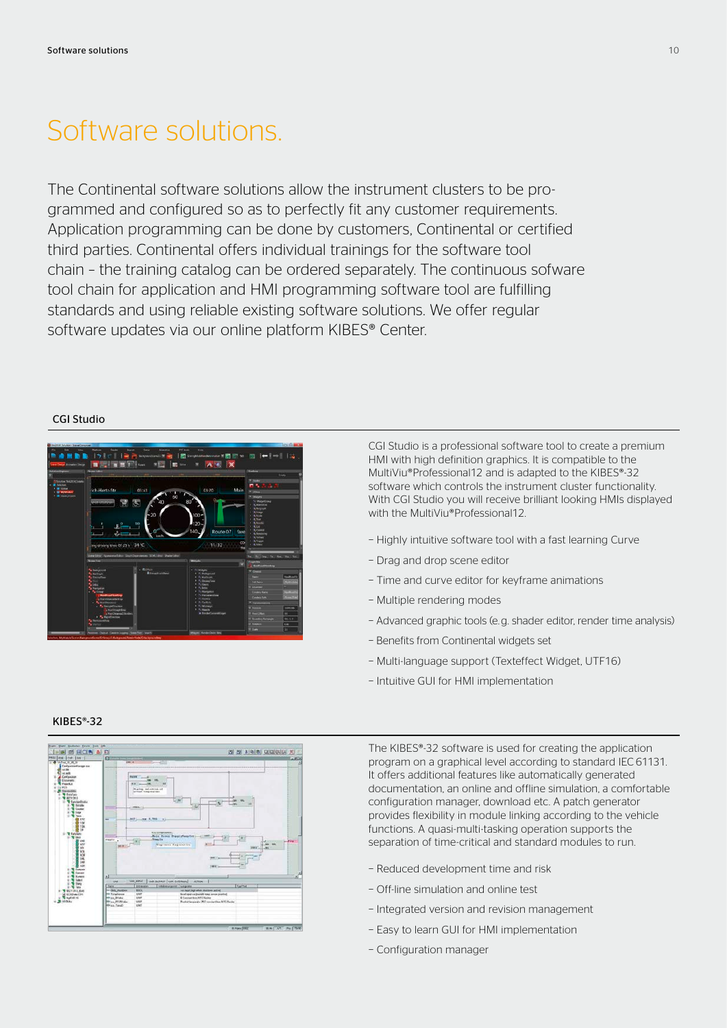### Software solutions.

The Continental software solutions allow the instrument clusters to be programmed and configured so as to perfectly fit any customer requirements. Application programming can be done by customers, Continental or certified third parties. Continental offers individual trainings for the software tool chain – the training catalog can be ordered separately. The continuous sofware tool chain for application and HMI programming software tool are fulfilling standards and using reliable existing software solutions. We offer regular software updates via our online platform KIBES® Center.

### CGI Studio



CGI Studio is a professional software tool to create a premium HMI with high definition graphics. It is compatible to the MultiViu®Professional12 and is adapted to the KIBES®-32 software which controls the instrument cluster functionality. With CGI Studio you will receive brilliant looking HMIs displayed with the MultiViu®Professional12.

- − Highly intuitive software tool with a fast learning Curve
- − Drag and drop scene editor
- − Time and curve editor for keyframe animations
- − Multiple rendering modes
- − Advanced graphic tools (e. g. shader editor, render time analysis)
- − Benefits from Continental widgets set
- − Multi-language support (Texteffect Widget, UTF16)
- − Intuitive GUI for HMI implementation



The KIBES®-32 software is used for creating the application program on a graphical level according to standard IEC 61131. It offers additional features like automatically generated documentation, an online and offline simulation, a comfortable configuration manager, download etc. A patch generator provides flexibility in module linking according to the vehicle functions. A quasi-multi-tasking operation supports the separation of time-critical and standard modules to run.

- − Reduced development time and risk
- − Off-line simulation and online test
- − Integrated version and revision management
- − Easy to learn GUI for HMI implementation
- − Configuration manager

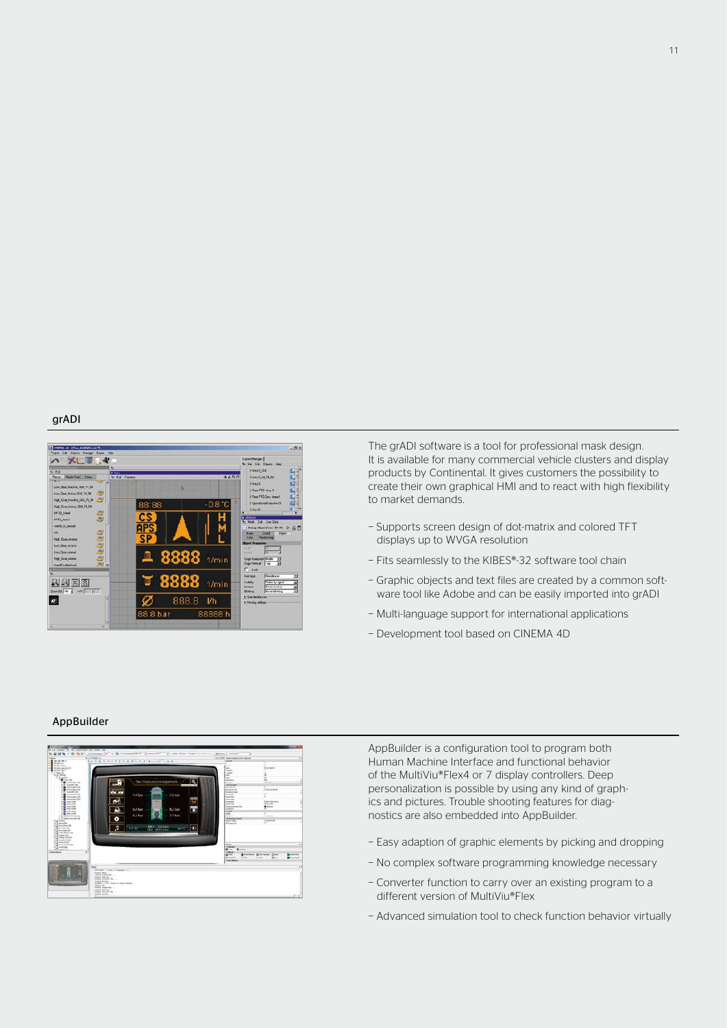#### grADI



The grADI software is a tool for professional mask design. It is available for many commercial vehicle clusters and display products by Continental. It gives customers the possibility to create their own graphical HMI and to react with high flexibility to market demands.

- − Supports screen design of dot-matrix and colored TFT displays up to WVGA resolution
- − Fits seamlessly to the KIBES®-32 software tool chain
- − Graphic objects and text files are created by a common software tool like Adobe and can be easily imported into grADI
- − Multi-language support for international applications
- − Development tool based on CINEMA 4D

#### AppBuilder



AppBuilder is a configuration tool to program both Human Machine Interface and functional behavior of the MultiViu®Flex4 or 7 display controllers. Deep personalization is possible by using any kind of graphics and pictures. Trouble shooting features for diagnostics are also embedded into AppBuilder.

- − Easy adaption of graphic elements by picking and dropping
- − No complex software programming knowledge necessary
- − Converter function to carry over an existing program to a different version of MultiViu®Flex
- − Advanced simulation tool to check function behavior virtually